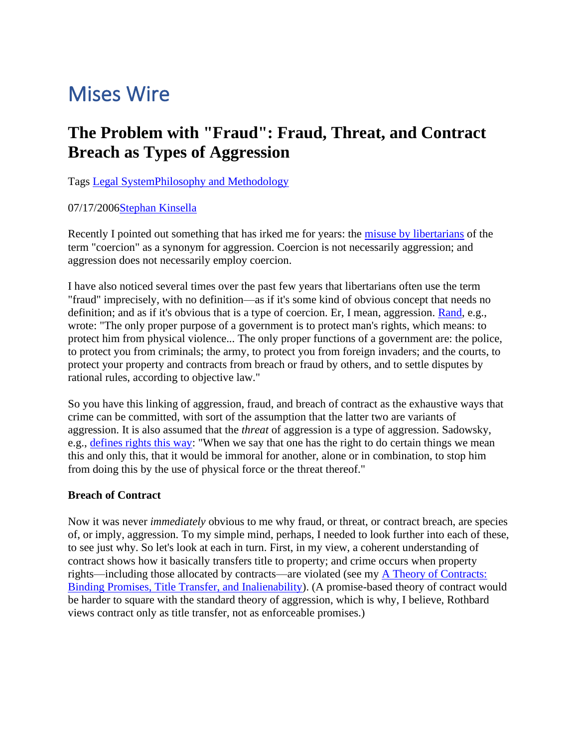# Mises Wire

# **The Problem with "Fraud": Fraud, Threat, and Contract Breach as Types of Aggression**

Tags [Legal System](https://mises.org/topics/legal-system)[Philosophy and Methodology](https://mises.org/austrian-school/philosophy-and-methodology)

## 07/17/200[6Stephan Kinsella](https://mises.org/profile/stephan-kinsella)

Recently I pointed out something that has irked me for years: the [misuse by libertarians](http://blog.lewrockwell.com/lewrw/archives/010905.html) of the term "coercion" as a synonym for aggression. Coercion is not necessarily aggression; and aggression does not necessarily employ coercion.

I have also noticed several times over the past few years that libertarians often use the term "fraud" imprecisely, with no definition—as if it's some kind of obvious concept that needs no definition; and as if it's obvious that is a type of coercion. Er, I mean, aggression. [Rand,](http://en.wikiquote.org/wiki/Ayn_Rand) e.g., wrote: "The only proper purpose of a government is to protect man's rights, which means: to protect him from physical violence... The only proper functions of a government are: the police, to protect you from criminals; the army, to protect you from foreign invaders; and the courts, to protect your property and contracts from breach or fraud by others, and to settle disputes by rational rules, according to objective law."

So you have this linking of aggression, fraud, and breach of contract as the exhaustive ways that crime can be committed, with sort of the assumption that the latter two are variants of aggression. It is also assumed that the *threat* of aggression is a type of aggression. Sadowsky, e.g., [defines rights this way:](http://www.anthonyflood.com/sadowskyprivateproperty.htm) "When we say that one has the right to do certain things we mean this and only this, that it would be immoral for another, alone or in combination, to stop him from doing this by the use of physical force or the threat thereof."

## **Breach of Contract**

Now it was never *immediately* obvious to me why fraud, or threat, or contract breach, are species of, or imply, aggression. To my simple mind, perhaps, I needed to look further into each of these, to see just why. So let's look at each in turn. First, in my view, a coherent understanding of contract shows how it basically transfers title to property; and crime occurs when property rights—including those allocated by contracts—are violated (see my [A Theory of Contracts:](http://mises.org/journals/jls/17_2/17_2_2.pdf)  [Binding Promises, Title Transfer, and Inalienability\)](http://mises.org/journals/jls/17_2/17_2_2.pdf). (A promise-based theory of contract would be harder to square with the standard theory of aggression, which is why, I believe, Rothbard views contract only as title transfer, not as enforceable promises.)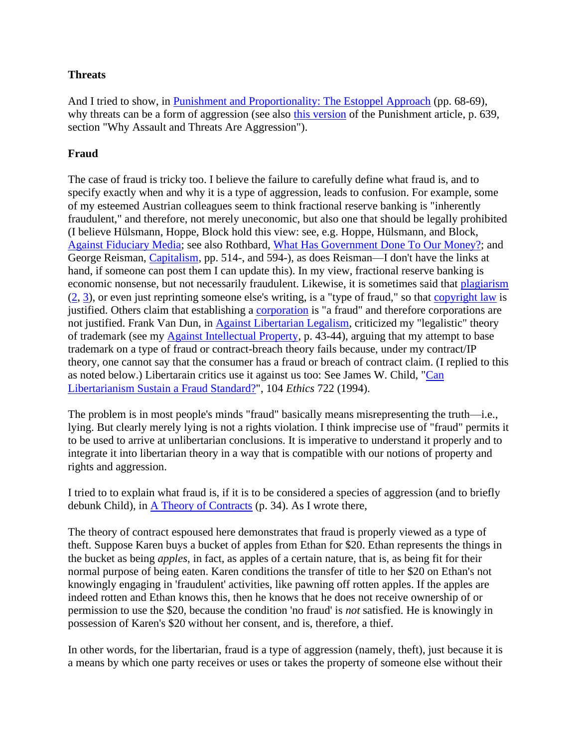#### **Threats**

And I tried to show, in [Punishment and Proportionality: The Estoppel Approach](http://mises.org/journals/jls/12_1/12_1_3.pdf) (pp. 68-69), why threats can be a form of aggression (see also [this version](http://www.stephankinsella.com/publications/kinsella_punishment-loyola.pdf) of the Punishment article, p. 639, section "Why Assault and Threats Are Aggression").

#### **Fraud**

The case of fraud is tricky too. I believe the failure to carefully define what fraud is, and to specify exactly when and why it is a type of aggression, leads to confusion. For example, some of my esteemed Austrian colleagues seem to think fractional reserve banking is "inherently fraudulent," and therefore, not merely uneconomic, but also one that should be legally prohibited (I believe Hülsmann, Hoppe, Block hold this view: see, e.g. Hoppe, Hülsmann, and Block, [Against Fiduciary Media;](http://mises.org/journals/qjae/pdf/qjae1_1_2.pdf) see also Rothbard, [What Has Government Done To Our Money?;](http://mises.org/money.asp) and George Reisman, [Capitalism,](http://www.capitalism.net/Capitalism/CAPITALISM_Internet.pdf) pp. 514-, and 594-), as does Reisman—I don't have the links at hand, if someone can post them I can update this). In my view, fractional reserve banking is economic nonsense, but not necessarily fraudulent. Likewise, it is sometimes said that [plagiarism](http://blog.mises.org/archives/004762.asp) [\(2,](http://blog.mises.org/archives/004992.asp) [3\)](http://blog.mises.org/blog/archives/001771.asp), or even just reprinting someone else's writing, is a "type of fraud," so that [copyright law](http://blog.mises.org/archives/003229.asp) is justified. Others claim that establishing a [corporation](http://blog.mises.org/archives/004272.asp) is "a fraud" and therefore corporations are not justified. Frank Van Dun, in [Against Libertarian Legalism,](http://mises.org/journals/jls/17_3/17_3_4.pdf) criticized my "legalistic" theory of trademark (see my [Against Intellectual Property,](http://mises.org/journals/jls/15_2/15_2_1.pdf) p. 43-44), arguing that my attempt to base trademark on a type of fraud or contract-breach theory fails because, under my contract/IP theory, one cannot say that the consumer has a fraud or breach of contract claim. (I replied to this as noted below.) Libertarain critics use it against us too: See James W. Child, ["Can](http://www.stephankinsella.com/wp-content/uploads/texts/child_libertarianism-fraud.pdf)  [Libertarianism Sustain a Fraud Standard?"](http://www.stephankinsella.com/wp-content/uploads/texts/child_libertarianism-fraud.pdf), 104 *Ethics* 722 (1994).

The problem is in most people's minds "fraud" basically means misrepresenting the truth—i.e., lying. But clearly merely lying is not a rights violation. I think imprecise use of "fraud" permits it to be used to arrive at unlibertarian conclusions. It is imperative to understand it properly and to integrate it into libertarian theory in a way that is compatible with our notions of property and rights and aggression.

I tried to to explain what fraud is, if it is to be considered a species of aggression (and to briefly debunk Child), in [A Theory of Contracts](http://mises.org/journals/jls/17_2/17_2_2.pdf) (p. 34). As I wrote there,

The theory of contract espoused here demonstrates that fraud is properly viewed as a type of theft. Suppose Karen buys a bucket of apples from Ethan for \$20. Ethan represents the things in the bucket as being *apples*, in fact, as apples of a certain nature, that is, as being fit for their normal purpose of being eaten. Karen conditions the transfer of title to her \$20 on Ethan's not knowingly engaging in 'fraudulent' activities, like pawning off rotten apples. If the apples are indeed rotten and Ethan knows this, then he knows that he does not receive ownership of or permission to use the \$20, because the condition 'no fraud' is *not* satisfied. He is knowingly in possession of Karen's \$20 without her consent, and is, therefore, a thief.

In other words, for the libertarian, fraud is a type of aggression (namely, theft), just because it is a means by which one party receives or uses or takes the property of someone else without their